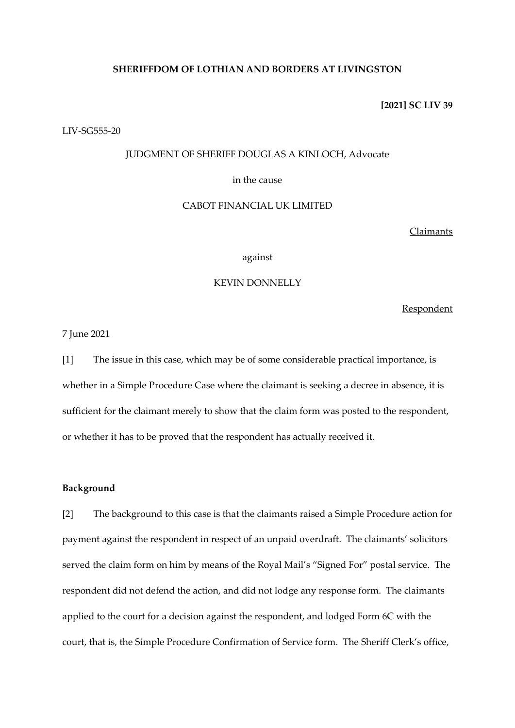# **SHERIFFDOM OF LOTHIAN AND BORDERS AT LIVINGSTON**

### **[2021] SC LIV 39**

## LIV-SG555-20

# JUDGMENT OF SHERIFF DOUGLAS A KINLOCH, Advocate

# in the cause

# CABOT FINANCIAL UK LIMITED

## Claimants

### against

# KEVIN DONNELLY

Respondent

7 June 2021

[1] The issue in this case, which may be of some considerable practical importance, is whether in a Simple Procedure Case where the claimant is seeking a decree in absence, it is sufficient for the claimant merely to show that the claim form was posted to the respondent, or whether it has to be proved that the respondent has actually received it.

# **Background**

[2] The background to this case is that the claimants raised a Simple Procedure action for payment against the respondent in respect of an unpaid overdraft. The claimants' solicitors served the claim form on him by means of the Royal Mail's "Signed For" postal service. The respondent did not defend the action, and did not lodge any response form. The claimants applied to the court for a decision against the respondent, and lodged Form 6C with the court, that is, the Simple Procedure Confirmation of Service form. The Sheriff Clerk's office,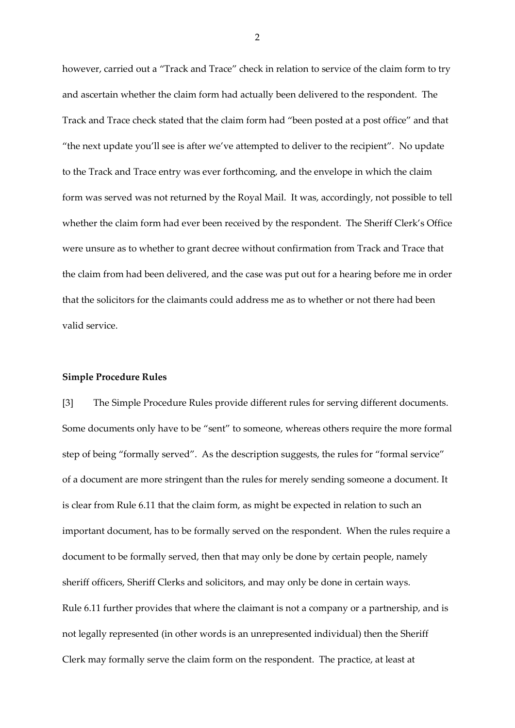however, carried out a "Track and Trace" check in relation to service of the claim form to try and ascertain whether the claim form had actually been delivered to the respondent. The Track and Trace check stated that the claim form had "been posted at a post office" and that "the next update you'll see is after we've attempted to deliver to the recipient". No update to the Track and Trace entry was ever forthcoming, and the envelope in which the claim form was served was not returned by the Royal Mail. It was, accordingly, not possible to tell whether the claim form had ever been received by the respondent. The Sheriff Clerk's Office were unsure as to whether to grant decree without confirmation from Track and Trace that the claim from had been delivered, and the case was put out for a hearing before me in order that the solicitors for the claimants could address me as to whether or not there had been valid service.

### **Simple Procedure Rules**

[3] The Simple Procedure Rules provide different rules for serving different documents. Some documents only have to be "sent" to someone, whereas others require the more formal step of being "formally served". As the description suggests, the rules for "formal service" of a document are more stringent than the rules for merely sending someone a document. It is clear from Rule 6.11 that the claim form, as might be expected in relation to such an important document, has to be formally served on the respondent. When the rules require a document to be formally served, then that may only be done by certain people, namely sheriff officers, Sheriff Clerks and solicitors, and may only be done in certain ways. Rule 6.11 further provides that where the claimant is not a company or a partnership, and is not legally represented (in other words is an unrepresented individual) then the Sheriff Clerk may formally serve the claim form on the respondent. The practice, at least at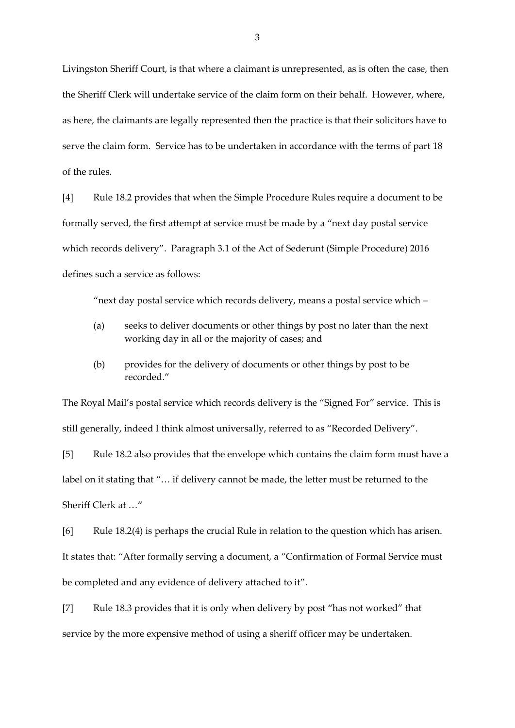Livingston Sheriff Court, is that where a claimant is unrepresented, as is often the case, then the Sheriff Clerk will undertake service of the claim form on their behalf. However, where, as here, the claimants are legally represented then the practice is that their solicitors have to serve the claim form. Service has to be undertaken in accordance with the terms of part 18 of the rules.

[4] Rule 18.2 provides that when the Simple Procedure Rules require a document to be formally served, the first attempt at service must be made by a "next day postal service which records delivery". Paragraph 3.1 of the Act of Sederunt (Simple Procedure) 2016 defines such a service as follows:

"next day postal service which records delivery, means a postal service which –

- (a) seeks to deliver documents or other things by post no later than the next working day in all or the majority of cases; and
- (b) provides for the delivery of documents or other things by post to be recorded."

The Royal Mail's postal service which records delivery is the "Signed For" service. This is still generally, indeed I think almost universally, referred to as "Recorded Delivery".

[5] Rule 18.2 also provides that the envelope which contains the claim form must have a label on it stating that "… if delivery cannot be made, the letter must be returned to the Sheriff Clerk at …"

[6] Rule 18.2(4) is perhaps the crucial Rule in relation to the question which has arisen. It states that: "After formally serving a document, a "Confirmation of Formal Service must be completed and any evidence of delivery attached to it".

[7] Rule 18.3 provides that it is only when delivery by post "has not worked" that service by the more expensive method of using a sheriff officer may be undertaken.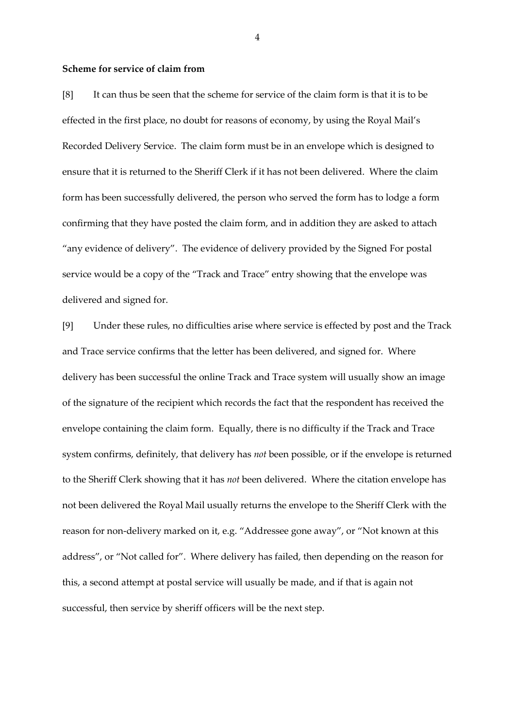## **Scheme for service of claim from**

[8] It can thus be seen that the scheme for service of the claim form is that it is to be effected in the first place, no doubt for reasons of economy, by using the Royal Mail's Recorded Delivery Service. The claim form must be in an envelope which is designed to ensure that it is returned to the Sheriff Clerk if it has not been delivered. Where the claim form has been successfully delivered, the person who served the form has to lodge a form confirming that they have posted the claim form, and in addition they are asked to attach "any evidence of delivery". The evidence of delivery provided by the Signed For postal service would be a copy of the "Track and Trace" entry showing that the envelope was delivered and signed for.

[9] Under these rules, no difficulties arise where service is effected by post and the Track and Trace service confirms that the letter has been delivered, and signed for. Where delivery has been successful the online Track and Trace system will usually show an image of the signature of the recipient which records the fact that the respondent has received the envelope containing the claim form. Equally, there is no difficulty if the Track and Trace system confirms, definitely, that delivery has *not* been possible, or if the envelope is returned to the Sheriff Clerk showing that it has *not* been delivered. Where the citation envelope has not been delivered the Royal Mail usually returns the envelope to the Sheriff Clerk with the reason for non-delivery marked on it, e.g. "Addressee gone away", or "Not known at this address", or "Not called for". Where delivery has failed, then depending on the reason for this, a second attempt at postal service will usually be made, and if that is again not successful, then service by sheriff officers will be the next step.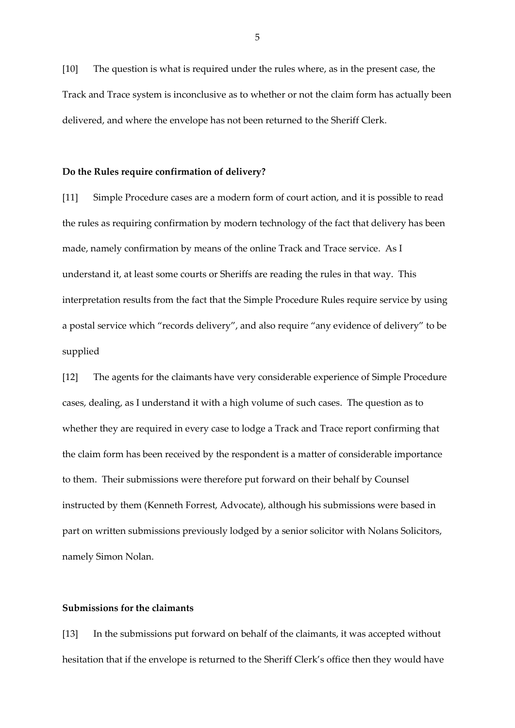[10] The question is what is required under the rules where, as in the present case, the Track and Trace system is inconclusive as to whether or not the claim form has actually been delivered, and where the envelope has not been returned to the Sheriff Clerk.

### **Do the Rules require confirmation of delivery?**

[11] Simple Procedure cases are a modern form of court action, and it is possible to read the rules as requiring confirmation by modern technology of the fact that delivery has been made, namely confirmation by means of the online Track and Trace service. As I understand it, at least some courts or Sheriffs are reading the rules in that way. This interpretation results from the fact that the Simple Procedure Rules require service by using a postal service which "records delivery", and also require "any evidence of delivery" to be supplied

[12] The agents for the claimants have very considerable experience of Simple Procedure cases, dealing, as I understand it with a high volume of such cases. The question as to whether they are required in every case to lodge a Track and Trace report confirming that the claim form has been received by the respondent is a matter of considerable importance to them. Their submissions were therefore put forward on their behalf by Counsel instructed by them (Kenneth Forrest, Advocate), although his submissions were based in part on written submissions previously lodged by a senior solicitor with Nolans Solicitors, namely Simon Nolan.

# **Submissions for the claimants**

[13] In the submissions put forward on behalf of the claimants, it was accepted without hesitation that if the envelope is returned to the Sheriff Clerk's office then they would have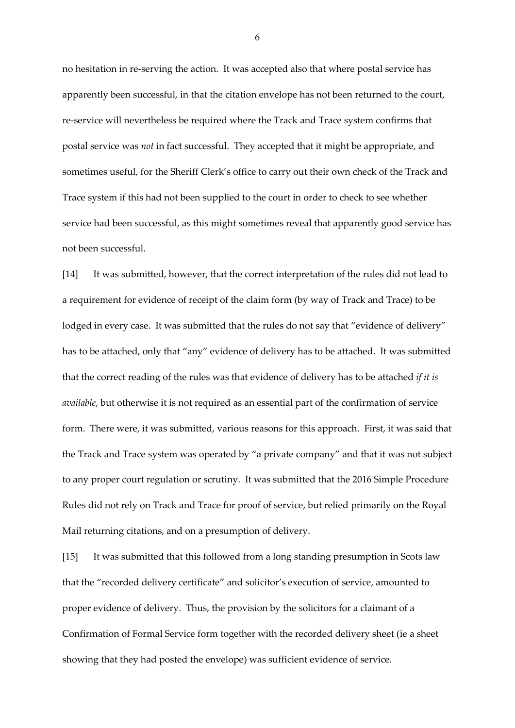no hesitation in re-serving the action. It was accepted also that where postal service has apparently been successful, in that the citation envelope has not been returned to the court, re-service will nevertheless be required where the Track and Trace system confirms that postal service was *not* in fact successful. They accepted that it might be appropriate, and sometimes useful, for the Sheriff Clerk's office to carry out their own check of the Track and Trace system if this had not been supplied to the court in order to check to see whether service had been successful, as this might sometimes reveal that apparently good service has not been successful.

[14] It was submitted, however, that the correct interpretation of the rules did not lead to a requirement for evidence of receipt of the claim form (by way of Track and Trace) to be lodged in every case. It was submitted that the rules do not say that "evidence of delivery" has to be attached, only that "any" evidence of delivery has to be attached. It was submitted that the correct reading of the rules was that evidence of delivery has to be attached *if it is available*, but otherwise it is not required as an essential part of the confirmation of service form. There were, it was submitted, various reasons for this approach. First, it was said that the Track and Trace system was operated by "a private company" and that it was not subject to any proper court regulation or scrutiny. It was submitted that the 2016 Simple Procedure Rules did not rely on Track and Trace for proof of service, but relied primarily on the Royal Mail returning citations, and on a presumption of delivery.

[15] It was submitted that this followed from a long standing presumption in Scots law that the "recorded delivery certificate" and solicitor's execution of service, amounted to proper evidence of delivery. Thus, the provision by the solicitors for a claimant of a Confirmation of Formal Service form together with the recorded delivery sheet (ie a sheet showing that they had posted the envelope) was sufficient evidence of service.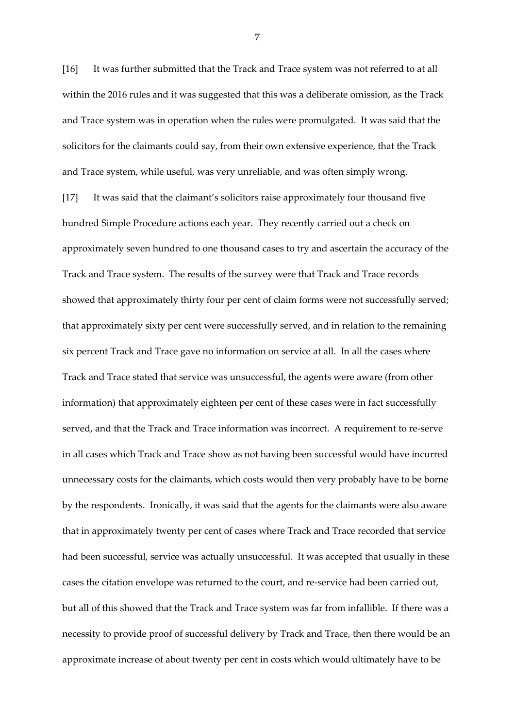[16] It was further submitted that the Track and Trace system was not referred to at all within the 2016 rules and it was suggested that this was a deliberate omission, as the Track and Trace system was in operation when the rules were promulgated. It was said that the solicitors for the claimants could say, from their own extensive experience, that the Track and Trace system, while useful, was very unreliable, and was often simply wrong.

[17] It was said that the claimant's solicitors raise approximately four thousand five hundred Simple Procedure actions each year. They recently carried out a check on approximately seven hundred to one thousand cases to try and ascertain the accuracy of the Track and Trace system. The results of the survey were that Track and Trace records showed that approximately thirty four per cent of claim forms were not successfully served; that approximately sixty per cent were successfully served, and in relation to the remaining six percent Track and Trace gave no information on service at all. In all the cases where Track and Trace stated that service was unsuccessful, the agents were aware (from other information) that approximately eighteen per cent of these cases were in fact successfully served, and that the Track and Trace information was incorrect. A requirement to re-serve in all cases which Track and Trace show as not having been successful would have incurred unnecessary costs for the claimants, which costs would then very probably have to be borne by the respondents. Ironically, it was said that the agents for the claimants were also aware that in approximately twenty per cent of cases where Track and Trace recorded that service had been successful, service was actually unsuccessful. It was accepted that usually in these cases the citation envelope was returned to the court, and re-service had been carried out, but all of this showed that the Track and Trace system was far from infallible. If there was a necessity to provide proof of successful delivery by Track and Trace, then there would be an approximate increase of about twenty per cent in costs which would ultimately have to be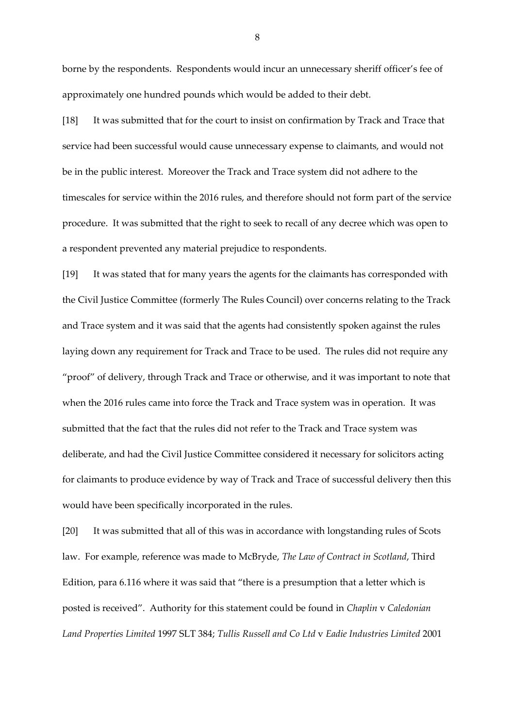borne by the respondents. Respondents would incur an unnecessary sheriff officer's fee of approximately one hundred pounds which would be added to their debt.

[18] It was submitted that for the court to insist on confirmation by Track and Trace that service had been successful would cause unnecessary expense to claimants, and would not be in the public interest. Moreover the Track and Trace system did not adhere to the timescales for service within the 2016 rules, and therefore should not form part of the service procedure. It was submitted that the right to seek to recall of any decree which was open to a respondent prevented any material prejudice to respondents.

[19] It was stated that for many years the agents for the claimants has corresponded with the Civil Justice Committee (formerly The Rules Council) over concerns relating to the Track and Trace system and it was said that the agents had consistently spoken against the rules laying down any requirement for Track and Trace to be used. The rules did not require any "proof" of delivery, through Track and Trace or otherwise, and it was important to note that when the 2016 rules came into force the Track and Trace system was in operation. It was submitted that the fact that the rules did not refer to the Track and Trace system was deliberate, and had the Civil Justice Committee considered it necessary for solicitors acting for claimants to produce evidence by way of Track and Trace of successful delivery then this would have been specifically incorporated in the rules.

[20] It was submitted that all of this was in accordance with longstanding rules of Scots law. For example, reference was made to McBryde, *The Law of Contract in Scotland*, Third Edition, para 6.116 where it was said that "there is a presumption that a letter which is posted is received". Authority for this statement could be found in *Chaplin* v *Caledonian Land Properties Limited* 1997 SLT 384; *Tullis Russell and Co Ltd* v *Eadie Industries Limited* 2001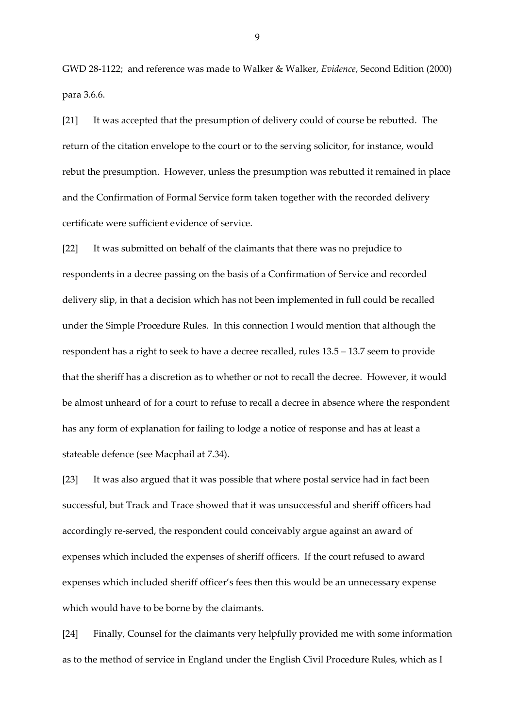GWD 28-1122; and reference was made to Walker & Walker, *Evidence*, Second Edition (2000) para 3.6.6.

[21] It was accepted that the presumption of delivery could of course be rebutted. The return of the citation envelope to the court or to the serving solicitor, for instance, would rebut the presumption. However, unless the presumption was rebutted it remained in place and the Confirmation of Formal Service form taken together with the recorded delivery certificate were sufficient evidence of service.

[22] It was submitted on behalf of the claimants that there was no prejudice to respondents in a decree passing on the basis of a Confirmation of Service and recorded delivery slip, in that a decision which has not been implemented in full could be recalled under the Simple Procedure Rules. In this connection I would mention that although the respondent has a right to seek to have a decree recalled, rules 13.5 – 13.7 seem to provide that the sheriff has a discretion as to whether or not to recall the decree. However, it would be almost unheard of for a court to refuse to recall a decree in absence where the respondent has any form of explanation for failing to lodge a notice of response and has at least a stateable defence (see Macphail at 7.34).

[23] It was also argued that it was possible that where postal service had in fact been successful, but Track and Trace showed that it was unsuccessful and sheriff officers had accordingly re-served, the respondent could conceivably argue against an award of expenses which included the expenses of sheriff officers. If the court refused to award expenses which included sheriff officer's fees then this would be an unnecessary expense which would have to be borne by the claimants.

[24] Finally, Counsel for the claimants very helpfully provided me with some information as to the method of service in England under the English Civil Procedure Rules, which as I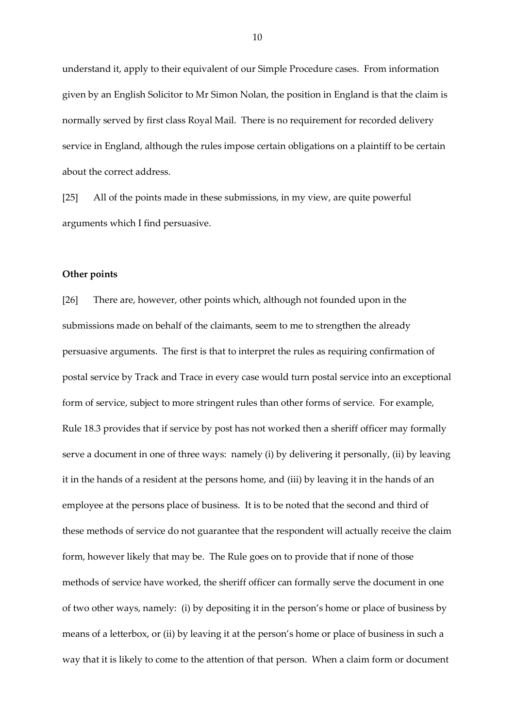understand it, apply to their equivalent of our Simple Procedure cases. From information given by an English Solicitor to Mr Simon Nolan, the position in England is that the claim is normally served by first class Royal Mail. There is no requirement for recorded delivery service in England, although the rules impose certain obligations on a plaintiff to be certain about the correct address.

[25] All of the points made in these submissions, in my view, are quite powerful arguments which I find persuasive.

## **Other points**

[26] There are, however, other points which, although not founded upon in the submissions made on behalf of the claimants, seem to me to strengthen the already persuasive arguments. The first is that to interpret the rules as requiring confirmation of postal service by Track and Trace in every case would turn postal service into an exceptional form of service, subject to more stringent rules than other forms of service. For example, Rule 18.3 provides that if service by post has not worked then a sheriff officer may formally serve a document in one of three ways: namely (i) by delivering it personally, (ii) by leaving it in the hands of a resident at the persons home, and (iii) by leaving it in the hands of an employee at the persons place of business. It is to be noted that the second and third of these methods of service do not guarantee that the respondent will actually receive the claim form, however likely that may be. The Rule goes on to provide that if none of those methods of service have worked, the sheriff officer can formally serve the document in one of two other ways, namely: (i) by depositing it in the person's home or place of business by means of a letterbox, or (ii) by leaving it at the person's home or place of business in such a way that it is likely to come to the attention of that person. When a claim form or document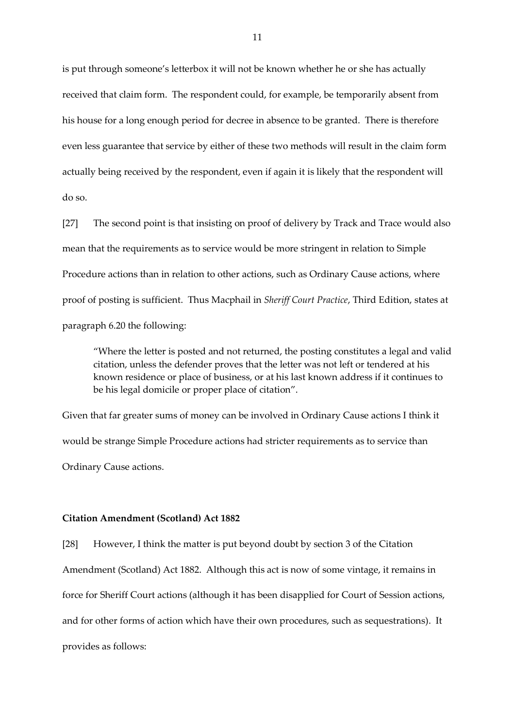is put through someone's letterbox it will not be known whether he or she has actually received that claim form. The respondent could, for example, be temporarily absent from his house for a long enough period for decree in absence to be granted. There is therefore even less guarantee that service by either of these two methods will result in the claim form actually being received by the respondent, even if again it is likely that the respondent will do so.

[27] The second point is that insisting on proof of delivery by Track and Trace would also mean that the requirements as to service would be more stringent in relation to Simple Procedure actions than in relation to other actions, such as Ordinary Cause actions, where proof of posting is sufficient. Thus Macphail in *Sheriff Court Practice*, Third Edition, states at paragraph 6.20 the following:

"Where the letter is posted and not returned, the posting constitutes a legal and valid citation, unless the defender proves that the letter was not left or tendered at his known residence or place of business, or at his last known address if it continues to be his legal domicile or proper place of citation".

Given that far greater sums of money can be involved in Ordinary Cause actions I think it would be strange Simple Procedure actions had stricter requirements as to service than Ordinary Cause actions.

# **Citation Amendment (Scotland) Act 1882**

[28] However, I think the matter is put beyond doubt by section 3 of the Citation Amendment (Scotland) Act 1882. Although this act is now of some vintage, it remains in force for Sheriff Court actions (although it has been disapplied for Court of Session actions, and for other forms of action which have their own procedures, such as sequestrations). It provides as follows: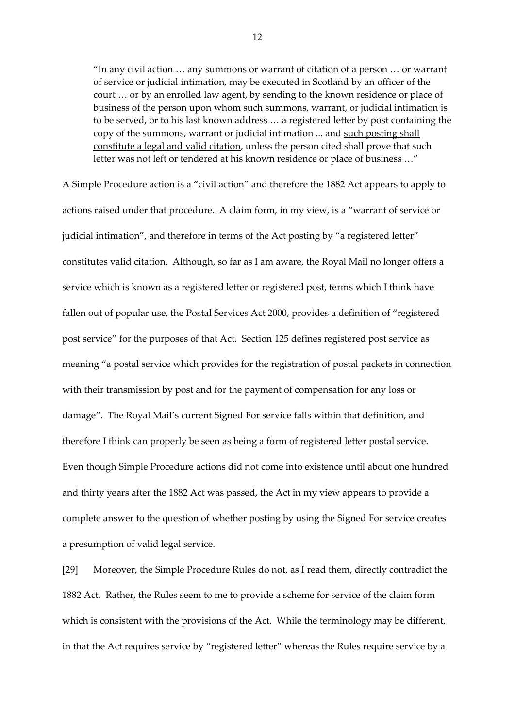"In any civil action … any summons or warrant of citation of a person … or warrant of service or judicial intimation, may be executed in Scotland by an officer of the court … or by an enrolled law agent, by sending to the known residence or place of business of the person upon whom such summons, warrant, or judicial intimation is to be served, or to his last known address … a registered letter by post containing the copy of the summons, warrant or judicial intimation ... and such posting shall constitute a legal and valid citation, unless the person cited shall prove that such letter was not left or tendered at his known residence or place of business …"

A Simple Procedure action is a "civil action" and therefore the 1882 Act appears to apply to actions raised under that procedure. A claim form, in my view, is a "warrant of service or judicial intimation", and therefore in terms of the Act posting by "a registered letter" constitutes valid citation. Although, so far as I am aware, the Royal Mail no longer offers a service which is known as a registered letter or registered post, terms which I think have fallen out of popular use, the Postal Services Act 2000, provides a definition of "registered post service" for the purposes of that Act. Section 125 defines registered post service as meaning "a postal service which provides for the registration of postal packets in connection with their transmission by post and for the payment of compensation for any loss or damage". The Royal Mail's current Signed For service falls within that definition, and therefore I think can properly be seen as being a form of registered letter postal service. Even though Simple Procedure actions did not come into existence until about one hundred and thirty years after the 1882 Act was passed, the Act in my view appears to provide a complete answer to the question of whether posting by using the Signed For service creates a presumption of valid legal service.

[29] Moreover, the Simple Procedure Rules do not, as I read them, directly contradict the 1882 Act. Rather, the Rules seem to me to provide a scheme for service of the claim form which is consistent with the provisions of the Act. While the terminology may be different, in that the Act requires service by "registered letter" whereas the Rules require service by a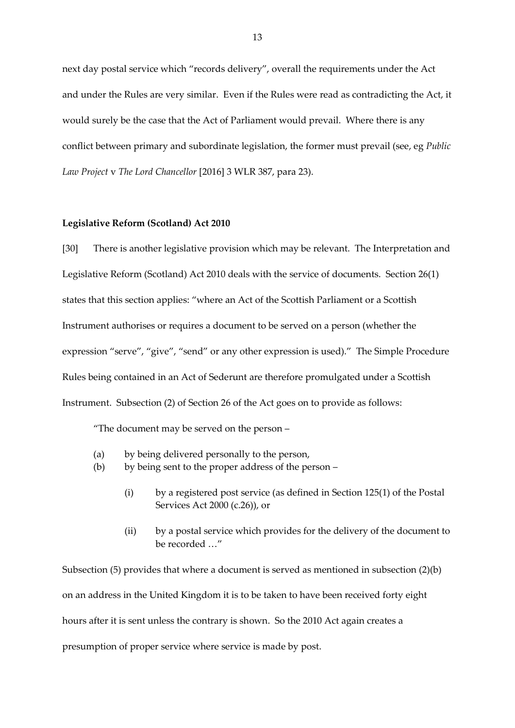next day postal service which "records delivery", overall the requirements under the Act and under the Rules are very similar. Even if the Rules were read as contradicting the Act, it would surely be the case that the Act of Parliament would prevail. Where there is any conflict between primary and subordinate legislation, the former must prevail (see, eg *Public Law Project* v *The Lord Chancellor* [2016] 3 WLR 387, para 23).

#### **Legislative Reform (Scotland) Act 2010**

[30] There is another legislative provision which may be relevant. The Interpretation and Legislative Reform (Scotland) Act 2010 deals with the service of documents. Section 26(1) states that this section applies: "where an Act of the Scottish Parliament or a Scottish Instrument authorises or requires a document to be served on a person (whether the expression "serve", "give", "send" or any other expression is used)." The Simple Procedure Rules being contained in an Act of Sederunt are therefore promulgated under a Scottish Instrument. Subsection (2) of Section 26 of the Act goes on to provide as follows:

"The document may be served on the person –

- (a) by being delivered personally to the person,
- (b) by being sent to the proper address of the person
	- (i) by a registered post service (as defined in Section 125(1) of the Postal Services Act 2000 (c.26)), or
	- (ii) by a postal service which provides for the delivery of the document to be recorded …"

Subsection (5) provides that where a document is served as mentioned in subsection (2)(b) on an address in the United Kingdom it is to be taken to have been received forty eight hours after it is sent unless the contrary is shown. So the 2010 Act again creates a presumption of proper service where service is made by post.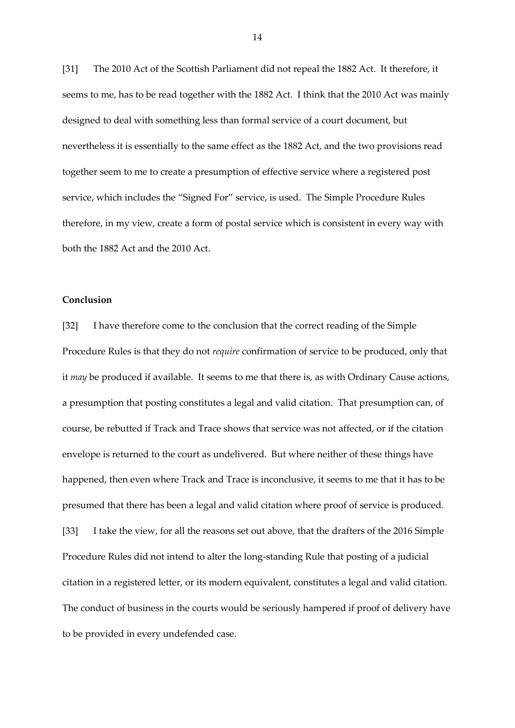[31] The 2010 Act of the Scottish Parliament did not repeal the 1882 Act. It therefore, it seems to me, has to be read together with the 1882 Act. I think that the 2010 Act was mainly designed to deal with something less than formal service of a court document, but nevertheless it is essentially to the same effect as the 1882 Act, and the two provisions read together seem to me to create a presumption of effective service where a registered post service, which includes the "Signed For" service, is used. The Simple Procedure Rules therefore, in my view, create a form of postal service which is consistent in every way with both the 1882 Act and the 2010 Act.

# **Conclusion**

[32] I have therefore come to the conclusion that the correct reading of the Simple Procedure Rules is that they do not *require* confirmation of service to be produced, only that it *may* be produced if available. It seems to me that there is, as with Ordinary Cause actions, a presumption that posting constitutes a legal and valid citation. That presumption can, of course, be rebutted if Track and Trace shows that service was not affected, or if the citation envelope is returned to the court as undelivered. But where neither of these things have happened, then even where Track and Trace is inconclusive, it seems to me that it has to be presumed that there has been a legal and valid citation where proof of service is produced. [33] I take the view, for all the reasons set out above, that the drafters of the 2016 Simple Procedure Rules did not intend to alter the long-standing Rule that posting of a judicial citation in a registered letter, or its modern equivalent, constitutes a legal and valid citation. The conduct of business in the courts would be seriously hampered if proof of delivery have to be provided in every undefended case.